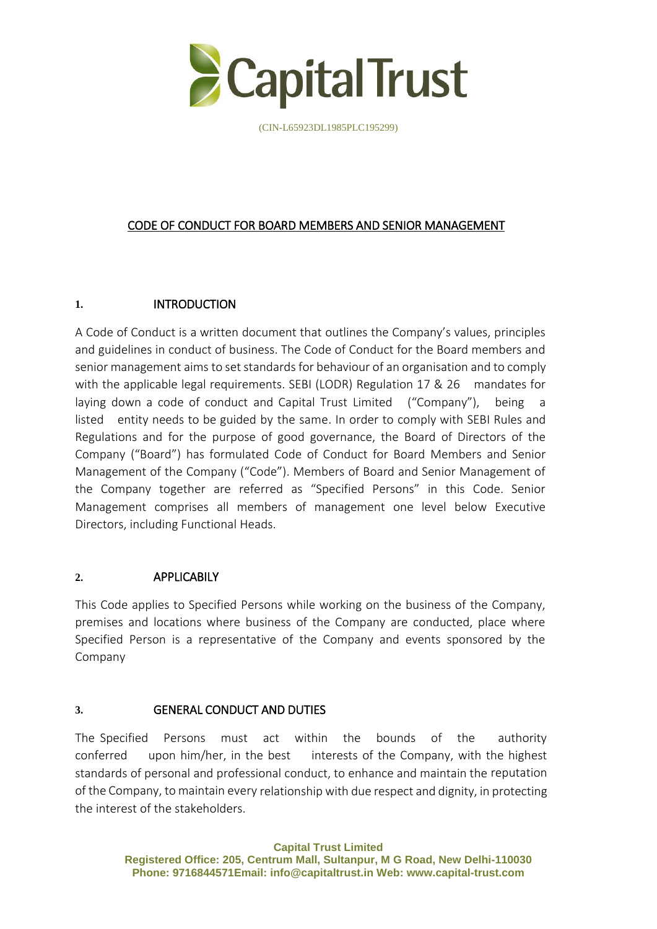

# CODE OF CONDUCT FOR BOARD MEMBERS AND SENIOR MANAGEMENT

### **1.** INTRODUCTION

A Code of Conduct is a written document that outlines the Company's values, principles and guidelines in conduct of business. The Code of Conduct for the Board members and senior management aims to set standards for behaviour of an organisation and to comply with the applicable legal requirements. SEBI (LODR) Regulation 17 & 26 mandates for laying down a code of conduct and Capital Trust Limited ("Company"), being a listed entity needs to be guided by the same. In order to comply with SEBI Rules and Regulations and for the purpose of good governance, the Board of Directors of the Company ("Board") has formulated Code of Conduct for Board Members and Senior Management of the Company ("Code"). Members of Board and Senior Management of the Company together are referred as "Specified Persons" in this Code. Senior Management comprises all members of management one level below Executive Directors, including Functional Heads.

## **2.** APPLICABILY

This Code applies to Specified Persons while working on the business of the Company, premises and locations where business of the Company are conducted, place where Specified Person is a representative of the Company and events sponsored by the Company

#### **3.** GENERAL CONDUCT AND DUTIES

The Specified Persons must act within the bounds of the authority conferred upon him/her, in the best interests of the Company, with the highest standards of personal and professional conduct, to enhance and maintain the reputation of the Company, to maintain every relationship with due respect and dignity, in protecting the interest of the stakeholders.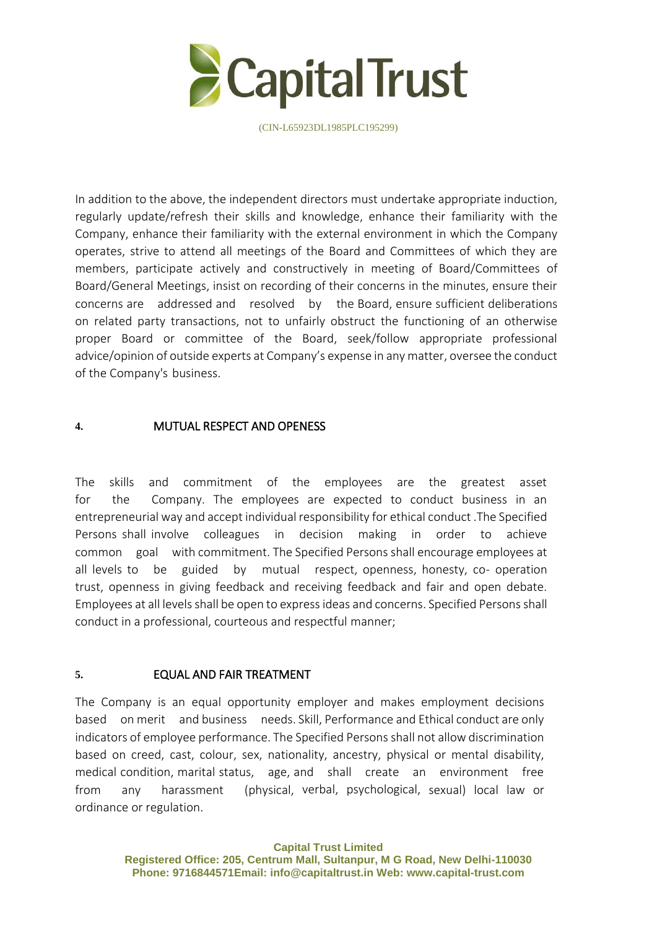

In addition to the above, the independent directors must undertake appropriate induction, regularly update/refresh their skills and knowledge, enhance their familiarity with the Company, enhance their familiarity with the external environment in which the Company operates, strive to attend all meetings of the Board and Committees of which they are members, participate actively and constructively in meeting of Board/Committees of Board/General Meetings, insist on recording of their concerns in the minutes, ensure their concerns are addressed and resolved by the Board, ensure sufficient deliberations on related party transactions, not to unfairly obstruct the functioning of an otherwise proper Board or committee of the Board, seek/follow appropriate professional advice/opinion of outside experts at Company's expense in any matter, oversee the conduct of the Company's business.

### **4.** MUTUAL RESPECT AND OPENESS

The skills and commitment of the employees are the greatest asset for the Company. The employees are expected to conduct business in an entrepreneurial way and accept individual responsibility for ethical conduct .The Specified Persons shall involve colleagues in decision making in order to achieve common goal with commitment. The Specified Persons shall encourage employees at all levels to be guided by mutual respect, openness, honesty, co- operation trust, openness in giving feedback and receiving feedback and fair and open debate. Employees at all levels shall be open to express ideas and concerns. Specified Persons shall conduct in a professional, courteous and respectful manner;

#### **5.** EQUAL AND FAIR TREATMENT

The Company is an equal opportunity employer and makes employment decisions based on merit and business needs. Skill, Performance and Ethical conduct are only indicators of employee performance. The Specified Persons shall not allow discrimination based on creed, cast, colour, sex, nationality, ancestry, physical or mental disability, medical condition, marital status, age, and shall create an environment free from any harassment (physical, verbal, psychological, sexual) local law or ordinance or regulation.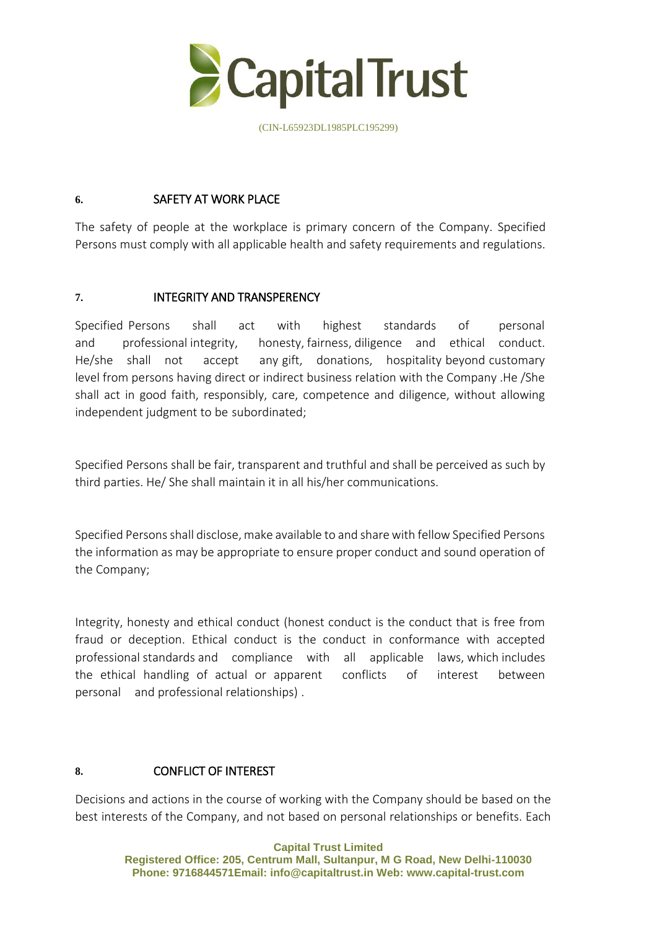

### **6.** SAFETY AT WORK PLACE

The safety of people at the workplace is primary concern of the Company. Specified Persons must comply with all applicable health and safety requirements and regulations.

## **7.** INTEGRITY AND TRANSPERENCY

Specified Persons shall act with highest standards of personal and professional integrity, honesty, fairness, diligence and ethical conduct. He/she shall not accept any gift, donations, hospitality beyond customary level from persons having direct or indirect business relation with the Company .He /She shall act in good faith, responsibly, care, competence and diligence, without allowing independent judgment to be subordinated;

Specified Persons shall be fair, transparent and truthful and shall be perceived as such by third parties. He/ She shall maintain it in all his/her communications.

Specified Persons shall disclose, make available to and share with fellow Specified Persons the information as may be appropriate to ensure proper conduct and sound operation of the Company;

Integrity, honesty and ethical conduct (honest conduct is the conduct that is free from fraud or deception. Ethical conduct is the conduct in conformance with accepted professional standards and compliance with all applicable laws, which includes the ethical handling of actual or apparent conflicts of interest between personal and professional relationships) .

## **8.** CONFLICT OF INTEREST

Decisions and actions in the course of working with the Company should be based on the best interests of the Company, and not based on personal relationships or benefits. Each

> **Capital Trust Limited Registered Office: 205, Centrum Mall, Sultanpur, M G Road, New Delhi-110030 Phone: 9716844571Email: [info@capitaltrust.i](mailto:info@capital-trust.com)n Web: www.capital-trust.com**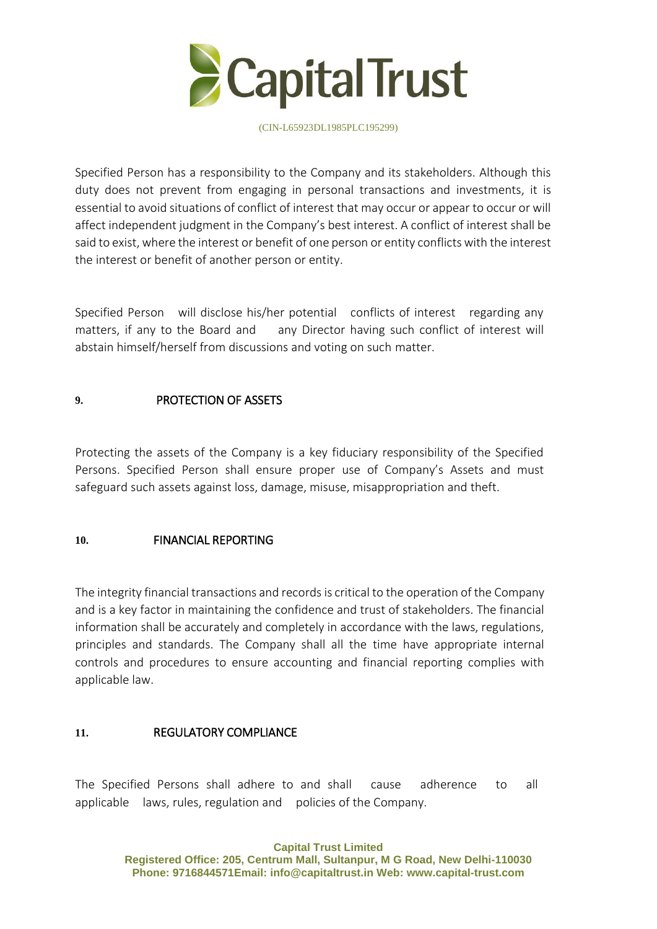

Specified Person has a responsibility to the Company and its stakeholders. Although this duty does not prevent from engaging in personal transactions and investments, it is essential to avoid situations of conflict of interest that may occur or appear to occur or will affect independent judgment in the Company's best interest. A conflict of interest shall be said to exist, where the interest or benefit of one person or entity conflicts with the interest the interest or benefit of another person or entity.

Specified Person will disclose his/her potential conflicts of interest regarding any matters, if any to the Board and any Director having such conflict of interest will abstain himself/herself from discussions and voting on such matter.

## **9.** PROTECTION OF ASSETS

Protecting the assets of the Company is a key fiduciary responsibility of the Specified Persons. Specified Person shall ensure proper use of Company's Assets and must safeguard such assets against loss, damage, misuse, misappropriation and theft.

## **10.** FINANCIAL REPORTING

The integrity financial transactions and records is critical to the operation of the Company and is a key factor in maintaining the confidence and trust of stakeholders. The financial information shall be accurately and completely in accordance with the laws, regulations, principles and standards. The Company shall all the time have appropriate internal controls and procedures to ensure accounting and financial reporting complies with applicable law.

## **11.** REGULATORY COMPLIANCE

The Specified Persons shall adhere to and shall cause adherence to all applicable laws, rules, regulation and policies of the Company.

> **Capital Trust Limited Registered Office: 205, Centrum Mall, Sultanpur, M G Road, New Delhi-110030 Phone: 9716844571Email: [info@capitaltrust.i](mailto:info@capital-trust.com)n Web: www.capital-trust.com**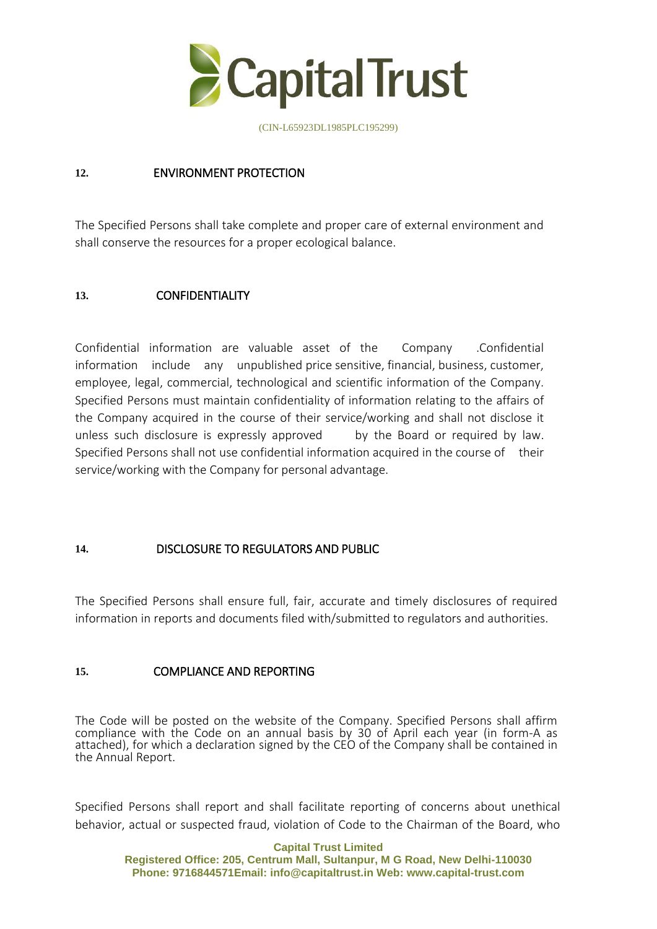

### **12.** ENVIRONMENT PROTECTION

The Specified Persons shall take complete and proper care of external environment and shall conserve the resources for a proper ecological balance.

### **13.** CONFIDENTIALITY

Confidential information are valuable asset of the Company .Confidential information include any unpublished price sensitive, financial, business, customer, employee, legal, commercial, technological and scientific information of the Company. Specified Persons must maintain confidentiality of information relating to the affairs of the Company acquired in the course of their service/working and shall not disclose it unless such disclosure is expressly approved by the Board or required by law. Specified Persons shall not use confidential information acquired in the course of their service/working with the Company for personal advantage.

#### **14.** DISCLOSURE TO REGULATORS AND PUBLIC

The Specified Persons shall ensure full, fair, accurate and timely disclosures of required information in reports and documents filed with/submitted to regulators and authorities.

#### **15.** COMPLIANCE AND REPORTING

The Code will be posted on the website of the Company. Specified Persons shall affirm compliance with the Code on an annual basis by 30 of April each year (in form-A as attached), for which a declaration signed by the CEO of the Company shall be contained in the Annual Report.

Specified Persons shall report and shall facilitate reporting of concerns about unethical behavior, actual or suspected fraud, violation of Code to the Chairman of the Board, who

#### **Capital Trust Limited**

**Registered Office: 205, Centrum Mall, Sultanpur, M G Road, New Delhi-110030 Phone: 9716844571Email: [info@capitaltrust.i](mailto:info@capital-trust.com)n Web: www.capital-trust.com**